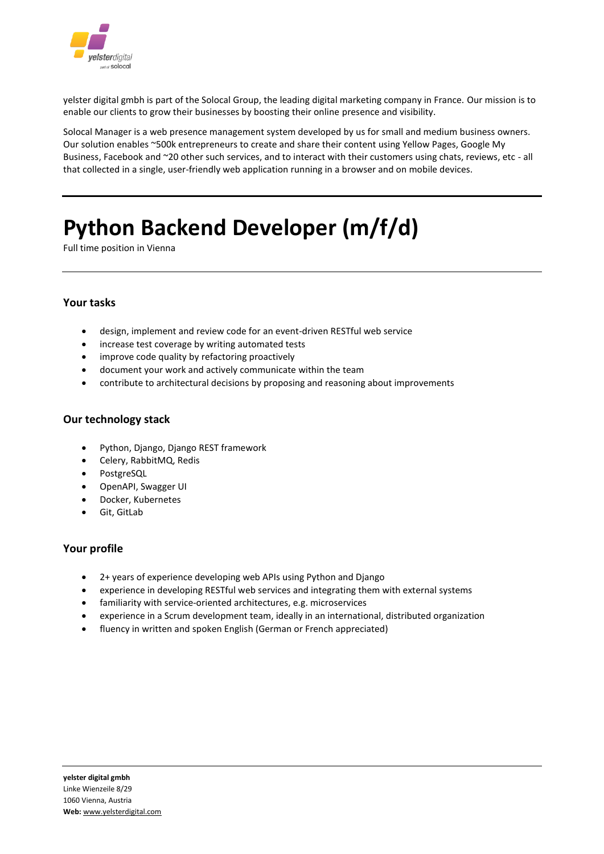

yelster digital gmbh is part of the Solocal Group, the leading digital marketing company in France. Our mission is to enable our clients to grow their businesses by boosting their online presence and visibility.

Solocal Manager is a web presence management system developed by us for small and medium business owners. Our solution enables ~500k entrepreneurs to create and share their content using Yellow Pages, Google My Business, Facebook and ~20 other such services, and to interact with their customers using chats, reviews, etc - all that collected in a single, user-friendly web application running in a browser and on mobile devices.

# **[Python Backend Developer \(m/f/d\)](https://confluence.solocal.com/pages/viewpage.action?pageId=57024699)**

Full time position in Vienna

# **Your tasks**

- design, implement and review code for an event-driven RESTful web service
- increase test coverage by writing automated tests
- improve code quality by refactoring proactively
- document your work and actively communicate within the team
- contribute to architectural decisions by proposing and reasoning about improvements

# **Our technology stack**

- Python, Django, Django REST framework
- Celery, RabbitMQ, Redis
- PostgreSQL
- OpenAPI, Swagger UI
- Docker, Kubernetes
- Git, GitLab

#### **Your profile**

- 2+ years of experience developing web APIs using Python and Django
- experience in developing RESTful web services and integrating them with external systems
- familiarity with service-oriented architectures, e.g. microservices
- experience in a Scrum development team, ideally in an international, distributed organization
- fluency in written and spoken English (German or French appreciated)